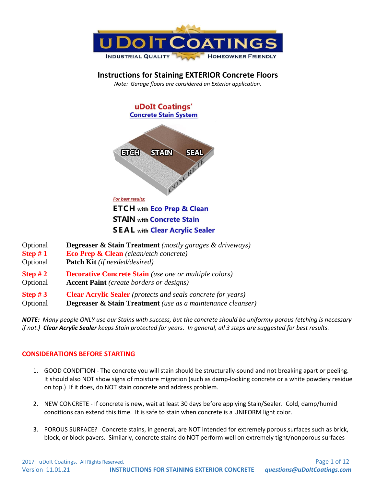

# **Instructions for Staining EXTERIOR Concrete Floors**

*Note: Garage floors are considered an Exterior application.*



**SEAL** with Clear Acrylic Sealer

Optional **Degreaser & Stain Treatment** *(mostly garages & driveways)* **Step # 1 Eco Prep & Clean** *(clean/etch concrete)* Optional **Patch Kit** *(if needed/desired)* **Step # 2 Decorative Concrete Stain** *(use one or multiple colors)* Optional **Accent Paint** *(create borders or designs)* **Step # 3 Clear Acrylic Sealer** *(protects and seals concrete for years)* Optional **Degreaser & Stain Treatment** *(use as a maintenance cleanser)*

*NOTE: Many people ONLY use our Stains with success, but the concrete should be uniformly porous (etching is necessary if not.) Clear Acrylic Sealer keeps Stain protected for years. In general, all 3 steps are suggested for best results.*

# **CONSIDERATIONS BEFORE STARTING**

- 1. GOOD CONDITION The concrete you will stain should be structurally-sound and not breaking apart or peeling. It should also NOT show signs of moisture migration (such as damp-looking concrete or a white powdery residue on top.) If it does, do NOT stain concrete and address problem.
- 2. NEW CONCRETE If concrete is new, wait at least 30 days before applying Stain/Sealer. Cold, damp/humid conditions can extend this time. It is safe to stain when concrete is a UNIFORM light color.
- 3. POROUS SURFACE? Concrete stains, in general, are NOT intended for extremely porous surfaces such as brick, block, or block pavers. Similarly, concrete stains do NOT perform well on extremely tight/nonporous surfaces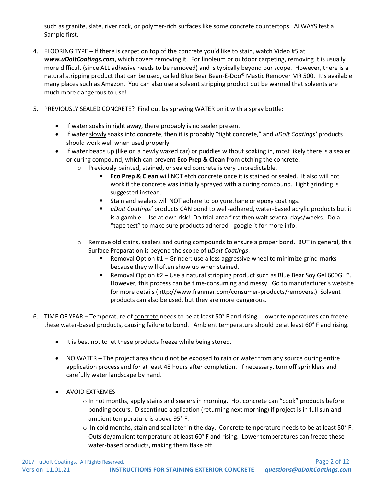such as granite, slate, river rock, or polymer-rich surfaces like some concrete countertops. ALWAYS test a Sample first.

- 4. FLOORING TYPE If there is carpet on top of the concrete you'd like to stain, watch Video #5 at *www.uDoItCoatings.com*, which covers removing it. For linoleum or outdoor carpeting, removing it is usually more difficult (since ALL adhesive needs to be removed) and is typically beyond our scope. However, there is a natural stripping product that can be used, called Blue Bear Bean-E-Doo® Mastic Remover MR 500. It's available many places such as Amazon. You can also use a solvent stripping product but be warned that solvents are much more dangerous to use!
- 5. PREVIOUSLY SEALED CONCRETE? Find out by spraying WATER on it with a spray bottle:
	- If water soaks in right away, there probably is no sealer present.
	- If water slowly soaks into concrete, then it is probably "tight concrete," and *uDoIt Coatings'* products should work well when used properly.
	- If water beads up (like on a newly waxed car) or puddles without soaking in, most likely there is a sealer or curing compound, which can prevent **Eco Prep & Clean** from etching the concrete.
		- o Previously painted, stained, or sealed concrete is very unpredictable.
			- **Eco Prep & Clean** will NOT etch concrete once it is stained or sealed. It also will not work if the concrete was initially sprayed with a curing compound. Light grinding is suggested instead.
			- Stain and sealers will NOT adhere to polyurethane or epoxy coatings.
			- *uDoIt Coatings'* products CAN bond to well-adhered, water-based acrylic products but it is a gamble. Use at own risk! Do trial-area first then wait several days/weeks. Do a "tape test" to make sure products adhered - google it for more info.
		- $\circ$  Remove old stains, sealers and curing compounds to ensure a proper bond. BUT in general, this Surface Preparation is beyond the scope of *uDoIt Coatings*.
			- Removal Option #1 Grinder: use a less aggressive wheel to minimize grind-marks because they will often show up when stained.
			- Removal Option #2 Use a natural stripping product such as Blue Bear Soy Gel 600GL<sup>™</sup>. However, this process can be time-consuming and messy. Go to manufacturer's website for more details (http://www.franmar.com/consumer-products/removers.) Solvent products can also be used, but they are more dangerous.
- 6. TIME OF YEAR Temperature of concrete needs to be at least 50° F and rising. Lower temperatures can freeze these water-based products, causing failure to bond. Ambient temperature should be at least 60° F and rising.
	- It is best not to let these products freeze while being stored.
	- NO WATER The project area should not be exposed to rain or water from any source during entire application process and for at least 48 hours after completion. If necessary, turn off sprinklers and carefully water landscape by hand.
	- AVOID EXTREMES
		- o In hot months, apply stains and sealers in morning. Hot concrete can "cook" products before bonding occurs. Discontinue application (returning next morning) if project is in full sun and ambient temperature is above 95° F.
		- o In cold months, stain and seal later in the day. Concrete temperature needs to be at least 50° F. Outside/ambient temperature at least 60° F and rising. Lower temperatures can freeze these water-based products, making them flake off.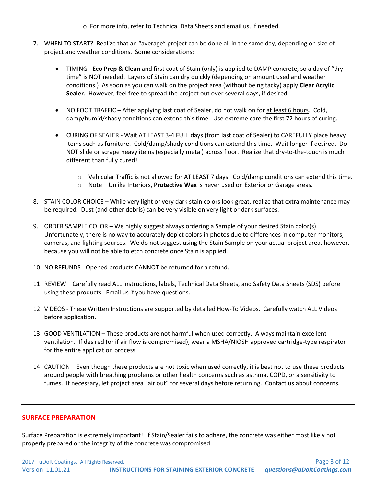o For more info, refer to Technical Data Sheets and email us, if needed.

- 7. WHEN TO START? Realize that an "average" project can be done all in the same day, depending on size of project and weather conditions. Some considerations:
	- TIMING **Eco Prep & Clean** and first coat of Stain (only) is applied to DAMP concrete, so a day of "drytime" is NOT needed. Layers of Stain can dry quickly (depending on amount used and weather conditions.) As soon as you can walk on the project area (without being tacky) apply **Clear Acrylic Sealer**. However, feel free to spread the project out over several days, if desired.
	- NO FOOT TRAFFIC After applying last coat of Sealer, do not walk on for at least 6 hours. Cold, damp/humid/shady conditions can extend this time. Use extreme care the first 72 hours of curing.
	- CURING OF SEALER Wait AT LEAST 3-4 FULL days (from last coat of Sealer) to CAREFULLY place heavy items such as furniture. Cold/damp/shady conditions can extend this time. Wait longer if desired. Do NOT slide or scrape heavy items (especially metal) across floor. Realize that dry-to-the-touch is much different than fully cured!
		- $\circ$  Vehicular Traffic is not allowed for AT LEAST 7 days. Cold/damp conditions can extend this time.
		- o Note Unlike Interiors, **Protective Wax** is never used on Exterior or Garage areas.
- 8. STAIN COLOR CHOICE While very light or very dark stain colors look great, realize that extra maintenance may be required. Dust (and other debris) can be very visible on very light or dark surfaces.
- 9. ORDER SAMPLE COLOR We highly suggest always ordering a Sample of your desired Stain color(s). Unfortunately, there is no way to accurately depict colors in photos due to differences in computer monitors, cameras, and lighting sources. We do not suggest using the Stain Sample on your actual project area, however, because you will not be able to etch concrete once Stain is applied.
- 10. NO REFUNDS Opened products CANNOT be returned for a refund.
- 11. REVIEW Carefully read ALL instructions, labels, Technical Data Sheets, and Safety Data Sheets (SDS) before using these products. Email us if you have questions.
- 12. VIDEOS These Written Instructions are supported by detailed How-To Videos. Carefully watch ALL Videos before application.
- 13. GOOD VENTILATION These products are not harmful when used correctly. Always maintain excellent ventilation. If desired (or if air flow is compromised), wear a MSHA/NIOSH approved cartridge-type respirator for the entire application process.
- 14. CAUTION Even though these products are not toxic when used correctly, it is best not to use these products around people with breathing problems or other health concerns such as asthma, COPD, or a sensitivity to fumes. If necessary, let project area "air out" for several days before returning. Contact us about concerns.

#### **SURFACE PREPARATION**

Surface Preparation is extremely important! If Stain/Sealer fails to adhere, the concrete was either most likely not properly prepared or the integrity of the concrete was compromised.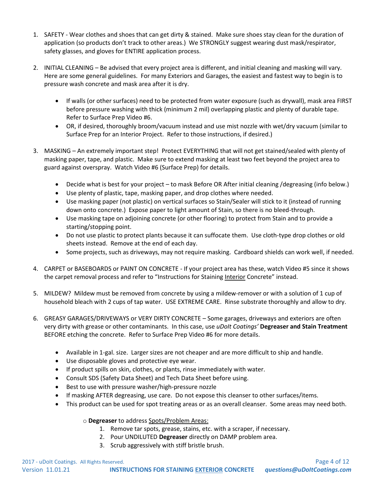- 1. SAFETY Wear clothes and shoes that can get dirty & stained. Make sure shoes stay clean for the duration of application (so products don't track to other areas.) We STRONGLY suggest wearing dust mask/respirator, safety glasses, and gloves for ENTIRE application process.
- 2. INITIAL CLEANING Be advised that every project area is different, and initial cleaning and masking will vary. Here are some general guidelines. For many Exteriors and Garages, the easiest and fastest way to begin is to pressure wash concrete and mask area after it is dry.
	- If walls (or other surfaces) need to be protected from water exposure (such as drywall), mask area FIRST before pressure washing with thick (minimum 2 mil) overlapping plastic and plenty of durable tape. Refer to Surface Prep Video #6.
	- OR, if desired, thoroughly broom/vacuum instead and use mist nozzle with wet/dry vacuum (similar to Surface Prep for an Interior Project. Refer to those instructions, if desired.)
- 3. MASKING An extremely important step! Protect EVERYTHING that will not get stained/sealed with plenty of masking paper, tape, and plastic. Make sure to extend masking at least two feet beyond the project area to guard against overspray. Watch Video #6 (Surface Prep) for details.
	- Decide what is best for your project to mask Before OR After initial cleaning /degreasing (info below.)
	- Use plenty of plastic, tape, masking paper, and drop clothes where needed.
	- Use masking paper (not plastic) on vertical surfaces so Stain/Sealer will stick to it (instead of running down onto concrete.) Expose paper to light amount of Stain, so there is no bleed-through.
	- Use masking tape on adjoining concrete (or other flooring) to protect from Stain and to provide a starting/stopping point.
	- Do not use plastic to protect plants because it can suffocate them. Use cloth-type drop clothes or old sheets instead. Remove at the end of each day.
	- Some projects, such as driveways, may not require masking. Cardboard shields can work well, if needed.
- 4. CARPET or BASEBOARDS or PAINT ON CONCRETE If your project area has these, watch Video #5 since it shows the carpet removal process and refer to "Instructions for Staining Interior Concrete" instead.
- 5. MILDEW? Mildew must be removed from concrete by using a mildew-remover or with a solution of 1 cup of household bleach with 2 cups of tap water. USE EXTREME CARE. Rinse substrate thoroughly and allow to dry.
- 6. GREASY GARAGES/DRIVEWAYS or VERY DIRTY CONCRETE Some garages, driveways and exteriors are often very dirty with grease or other contaminants. In this case, use *uDoIt Coatings'* **Degreaser and Stain Treatment** BEFORE etching the concrete. Refer to Surface Prep Video #6 for more details.
	- Available in 1-gal. size. Larger sizes are not cheaper and are more difficult to ship and handle.
	- Use disposable gloves and protective eye wear.
	- If product spills on skin, clothes, or plants, rinse immediately with water.
	- Consult SDS (Safety Data Sheet) and Tech Data Sheet before using.
	- Best to use with pressure washer/high-pressure nozzle
	- If masking AFTER degreasing, use care. Do not expose this cleanser to other surfaces/items.
	- This product can be used for spot treating areas or as an overall cleanser. Some areas may need both.

# o **Degreaser** to address Spots/Problem Areas:

- 1. Remove tar spots, grease, stains, etc. with a scraper, if necessary.
- 2. Pour UNDILUTED **Degreaser** directly on DAMP problem area.
- 3. Scrub aggressively with stiff bristle brush.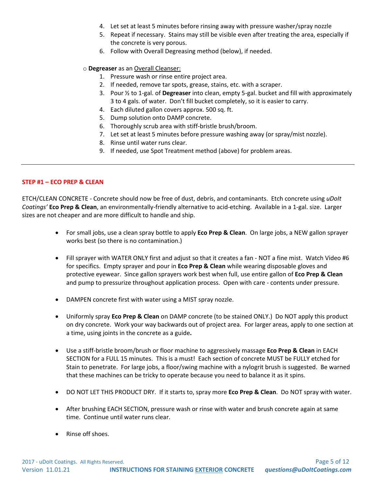- 4. Let set at least 5 minutes before rinsing away with pressure washer/spray nozzle
- 5. Repeat if necessary. Stains may still be visible even after treating the area, especially if the concrete is very porous.
- 6. Follow with Overall Degreasing method (below), if needed.

#### o **Degreaser** as an Overall Cleanser:

- 1. Pressure wash or rinse entire project area.
- 2. If needed, remove tar spots, grease, stains, etc. with a scraper.
- 3. Pour ½ to 1-gal. of **Degreaser** into clean, empty 5-gal. bucket and fill with approximately 3 to 4 gals. of water. Don't fill bucket completely, so it is easier to carry.
- 4. Each diluted gallon covers approx. 500 sq. ft.
- 5. Dump solution onto DAMP concrete.
- 6. Thoroughly scrub area with stiff-bristle brush/broom.
- 7. Let set at least 5 minutes before pressure washing away (or spray/mist nozzle).
- 8. Rinse until water runs clear.
- 9. If needed, use Spot Treatment method (above) for problem areas.

## **STEP #1 – ECO PREP & CLEAN**

ETCH/CLEAN CONCRETE - Concrete should now be free of dust, debris, and contaminants. Etch concrete using *uDoIt Coatings'* **Eco Prep & Clean**, an environmentally-friendly alternative to acid-etching. Available in a 1-gal. size. Larger sizes are not cheaper and are more difficult to handle and ship.

- For small jobs, use a clean spray bottle to apply **Eco Prep & Clean**. On large jobs, a NEW gallon sprayer works best (so there is no contamination.)
- Fill sprayer with WATER ONLY first and adjust so that it creates a fan NOT a fine mist. Watch Video #6 for specifics. Empty sprayer and pour in **Eco Prep & Clean** while wearing disposable gloves and protective eyewear. Since gallon sprayers work best when full, use entire gallon of **Eco Prep & Clean** and pump to pressurize throughout application process. Open with care - contents under pressure.
- DAMPEN concrete first with water using a MIST spray nozzle.
- Uniformly spray **Eco Prep & Clean** on DAMP concrete (to be stained ONLY.) Do NOT apply this product on dry concrete. Work your way backwards out of project area. For larger areas, apply to one section at a time, using joints in the concrete as a guide**.**
- Use a stiff-bristle broom/brush or floor machine to aggressively massage **Eco Prep & Clean** in EACH SECTION for a FULL 15 minutes. This is a must! Each section of concrete MUST be FULLY etched for Stain to penetrate. For large jobs, a floor/swing machine with a nylogrit brush is suggested.Be warned that these machines can be tricky to operate because you need to balance it as it spins.
- DO NOT LET THIS PRODUCT DRY. If it starts to, spray more **Eco Prep & Clean**. Do NOT spray with water.
- After brushing EACH SECTION, pressure wash or rinse with water and brush concrete again at same time. Continue until water runs clear.
- Rinse off shoes.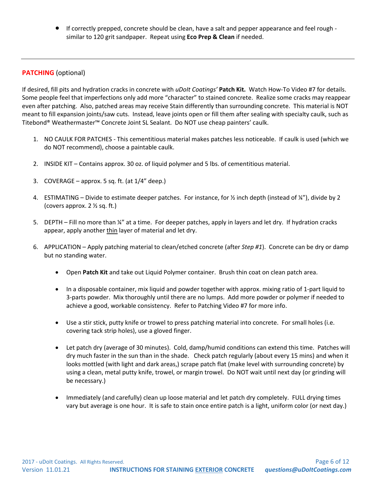• If correctly prepped, concrete should be clean, have a salt and pepper appearance and feel rough similar to 120 grit sandpaper. Repeat using **Eco Prep & Clean** if needed.

# **PATCHING** (optional)

If desired, fill pits and hydration cracks in concrete with *uDoIt Coatings'* **Patch Kit.** Watch How-To Video #7 for details. Some people feel that imperfections only add more "character" to stained concrete. Realize some cracks may reappear even after patching. Also, patched areas may receive Stain differently than surrounding concrete. This material is NOT meant to fill expansion joints/saw cuts. Instead, leave joints open or fill them after sealing with specialty caulk, such as Titebond® Weathermaster™ Concrete Joint SL Sealant. Do NOT use cheap painters' caulk.

- 1. NO CAULK FOR PATCHES This cementitious material makes patches less noticeable. If caulk is used (which we do NOT recommend), choose a paintable caulk.
- 2. INSIDE KIT Contains approx. 30 oz. of liquid polymer and 5 lbs. of cementitious material.
- 3. COVERAGE approx. 5 sq. ft. (at 1/4" deep.)
- 4. ESTIMATING Divide to estimate deeper patches. For instance, for ½ inch depth (instead of ¼"), divide by 2 (covers approx. 2 ½ sq. ft.)
- 5. DEPTH Fill no more than ¼" at a time. For deeper patches, apply in layers and let dry. If hydration cracks appear, apply another thin layer of material and let dry.
- 6. APPLICATION Apply patching material to clean/etched concrete (after *Step #1*). Concrete can be dry or damp but no standing water.
	- Open **Patch Kit** and take out Liquid Polymer container. Brush thin coat on clean patch area.
	- In a disposable container, mix liquid and powder together with approx. mixing ratio of 1-part liquid to 3-parts powder. Mix thoroughly until there are no lumps. Add more powder or polymer if needed to achieve a good, workable consistency. Refer to Patching Video #7 for more info.
	- Use a stir stick, putty knife or trowel to press patching material into concrete. For small holes (i.e. covering tack strip holes), use a gloved finger.
	- Let patch dry (average of 30 minutes). Cold, damp/humid conditions can extend this time. Patches will dry much faster in the sun than in the shade. Check patch regularly (about every 15 mins) and when it looks mottled (with light and dark areas,) scrape patch flat (make level with surrounding concrete) by using a clean, metal putty knife, trowel, or margin trowel. Do NOT wait until next day (or grinding will be necessary.)
	- Immediately (and carefully) clean up loose material and let patch dry completely. FULL drying times vary but average is one hour. It is safe to stain once entire patch is a light, uniform color (or next day.)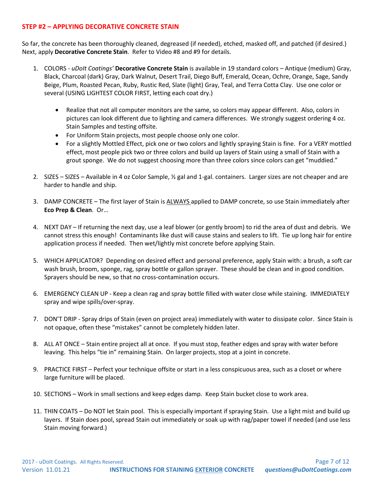# **STEP #2 – APPLYING DECORATIVE CONCRETE STAIN**

So far, the concrete has been thoroughly cleaned, degreased (if needed), etched, masked off, and patched (if desired.) Next, apply **Decorative Concrete Stain**. Refer to Video #8 and #9 for details.

- 1. COLORS *uDoIt Coatings'* **Decorative Concrete Stain** is available in 19 standard colors Antique (medium) Gray, Black, Charcoal (dark) Gray, Dark Walnut, Desert Trail, Diego Buff, Emerald, Ocean, Ochre, Orange, Sage, Sandy Beige, Plum, Roasted Pecan, Ruby, Rustic Red, Slate (light) Gray, Teal, and Terra Cotta Clay. Use one color or several (USING LIGHTEST COLOR FIRST, letting each coat dry.)
	- Realize that not all computer monitors are the same, so colors may appear different. Also, colors in pictures can look different due to lighting and camera differences. We strongly suggest ordering 4 oz. Stain Samples and testing offsite.
	- For Uniform Stain projects, most people choose only one color.
	- For a slightly Mottled Effect, pick one or two colors and lightly spraying Stain is fine. For a VERY mottled effect, most people pick two or three colors and build up layers of Stain using a small of Stain with a grout sponge. We do not suggest choosing more than three colors since colors can get "muddied."
- 2. SIZES SIZES Available in 4 oz Color Sample, ½ gal and 1-gal. containers. Larger sizes are not cheaper and are harder to handle and ship.
- 3. DAMP CONCRETE The first layer of Stain is ALWAYS applied to DAMP concrete, so use Stain immediately after **Eco Prep & Clean**. Or…
- 4. NEXT DAY If returning the next day, use a leaf blower (or gently broom) to rid the area of dust and debris. We cannot stress this enough! Contaminants like dust will cause stains and sealers to lift. Tie up long hair for entire application process if needed. Then wet/lightly mist concrete before applying Stain.
- 5. WHICH APPLICATOR? Depending on desired effect and personal preference, apply Stain with: a brush, a soft car wash brush, broom, sponge, rag, spray bottle or gallon sprayer. These should be clean and in good condition. Sprayers should be new, so that no cross-contamination occurs.
- 6. EMERGENCY CLEAN UP Keep a clean rag and spray bottle filled with water close while staining. IMMEDIATELY spray and wipe spills/over-spray.
- 7. DON'T DRIP Spray drips of Stain (even on project area) immediately with water to dissipate color. Since Stain is not opaque, often these "mistakes" cannot be completely hidden later.
- 8. ALL AT ONCE Stain entire project all at once. If you must stop, feather edges and spray with water before leaving. This helps "tie in" remaining Stain. On larger projects, stop at a joint in concrete.
- 9. PRACTICE FIRST Perfect your technique offsite or start in a less conspicuous area, such as a closet or where large furniture will be placed.
- 10. SECTIONS Work in small sections and keep edges damp. Keep Stain bucket close to work area.
- 11. THIN COATS Do NOT let Stain pool. This is especially important if spraying Stain. Use a light mist and build up layers. If Stain does pool, spread Stain out immediately or soak up with rag/paper towel if needed (and use less Stain moving forward.)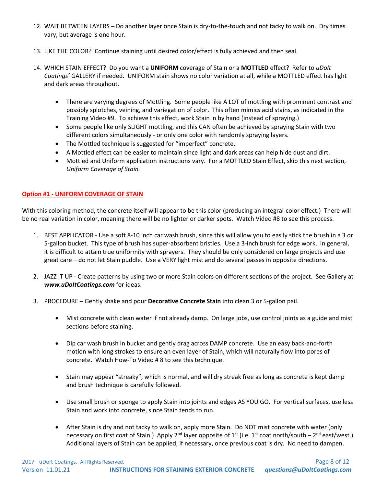- 12. WAIT BETWEEN LAYERS Do another layer once Stain is dry-to-the-touch and not tacky to walk on. Dry times vary, but average is one hour.
- 13. LIKE THE COLOR? Continue staining until desired color/effect is fully achieved and then seal.
- 14. WHICH STAIN EFFECT? Do you want a **UNIFORM** coverage of Stain or a **MOTTLED** effect? Refer to *uDoIt Coatings'* GALLERY if needed. UNIFORM stain shows no color variation at all, while a MOTTLED effect has light and dark areas throughout.
	- There are varying degrees of Mottling. Some people like A LOT of mottling with prominent contrast and possibly splotches, veining, and variegation of color. This often mimics acid stains, as indicated in the Training Video #9. To achieve this effect, work Stain in by hand (instead of spraying.)
	- Some people like only SLIGHT mottling, and this CAN often be achieved by spraying Stain with two different colors simultaneously - or only one color with randomly spraying layers.
	- The Mottled technique is suggested for "imperfect" concrete.
	- A Mottled effect can be easier to maintain since light and dark areas can help hide dust and dirt.
	- Mottled and Uniform application instructions vary. For a MOTTLED Stain Effect, skip this next section, *Uniform Coverage of Stain.*

#### **Option #1 - UNIFORM COVERAGE OF STAIN**

With this coloring method, the concrete itself will appear to be this color (producing an integral-color effect.) There will be no real variation in color, meaning there will be no lighter or darker spots. Watch Video #8 to see this process.

- 1. BEST APPLICATOR Use a soft 8-10 inch car wash brush, since this will allow you to easily stick the brush in a 3 or 5-gallon bucket. This type of brush has super-absorbent bristles. Use a 3-inch brush for edge work. In general, it is difficult to attain true uniformity with sprayers. They should be only considered on large projects and use great care – do not let Stain puddle. Use a VERY light mist and do several passes in opposite directions.
- 2. JAZZ IT UP Create patterns by using two or more Stain colors on different sections of the project. See Gallery at *www.uDoItCoatings.com* for ideas.
- 3. PROCEDURE Gently shake and pour **Decorative Concrete Stain** into clean 3 or 5-gallon pail.
	- Mist concrete with clean water if not already damp. On large jobs, use control joints as a guide and mist sections before staining.
	- Dip car wash brush in bucket and gently drag across DAMP concrete. Use an easy back-and-forth motion with long strokes to ensure an even layer of Stain, which will naturally flow into pores of concrete. Watch How-To Video # 8 to see this technique.
	- Stain may appear "streaky", which is normal, and will dry streak free as long as concrete is kept damp and brush technique is carefully followed.
	- Use small brush or sponge to apply Stain into joints and edges AS YOU GO. For vertical surfaces, use less Stain and work into concrete, since Stain tends to run.
	- After Stain is dry and not tacky to walk on, apply more Stain. Do NOT mist concrete with water (only necessary on first coat of Stain.) Apply 2<sup>nd</sup> layer opposite of 1<sup>st</sup> (i.e. 1<sup>st</sup> coat north/south – 2<sup>nd</sup> east/west.) Additional layers of Stain can be applied, if necessary, once previous coat is dry. No need to dampen.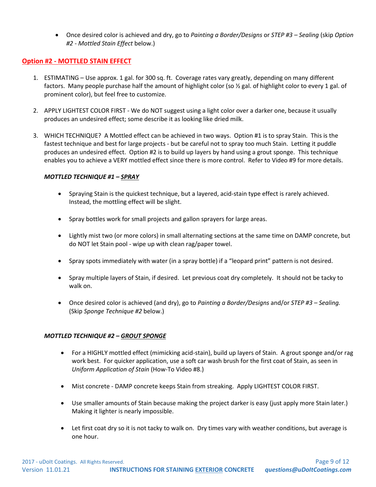• Once desired color is achieved and dry, go to *Painting a Border/Designs* or *STEP #3 – Sealing* (skip *Option #2 - Mottled Stain Effect* below.)

## **Option #2 - MOTTLED STAIN EFFECT**

- 1. ESTIMATING Use approx. 1 gal. for 300 sq. ft. Coverage rates vary greatly, depending on many different factors. Many people purchase half the amount of highlight color (so ½ gal. of highlight color to every 1 gal. of prominent color), but feel free to customize.
- 2. APPLY LIGHTEST COLOR FIRST We do NOT suggest using a light color over a darker one, because it usually produces an undesired effect; some describe it as looking like dried milk.
- 3. WHICH TECHNIQUE? A Mottled effect can be achieved in two ways. Option #1 is to spray Stain. This is the fastest technique and best for large projects - but be careful not to spray too much Stain. Letting it puddle produces an undesired effect. Option #2 is to build up layers by hand using a grout sponge. This technique enables you to achieve a VERY mottled effect since there is more control. Refer to Video #9 for more details.

#### *MOTTLED TECHNIQUE #1 – SPRAY*

- Spraying Stain is the quickest technique, but a layered, acid-stain type effect is rarely achieved. Instead, the mottling effect will be slight.
- Spray bottles work for small projects and gallon sprayers for large areas.
- Lightly mist two (or more colors) in small alternating sections at the same time on DAMP concrete, but do NOT let Stain pool - wipe up with clean rag/paper towel.
- Spray spots immediately with water (in a spray bottle) if a "leopard print" pattern is not desired.
- Spray multiple layers of Stain, if desired. Let previous coat dry completely. It should not be tacky to walk on.
- Once desired color is achieved (and dry), go to *Painting a Border/Designs* and/or *STEP #3 – Sealing.*  (Skip *Sponge Technique #2* below.)

#### *MOTTLED TECHNIQUE #2 – GROUT SPONGE*

- For a HIGHLY mottled effect (mimicking acid-stain), build up layers of Stain. A grout sponge and/or rag work best. For quicker application, use a soft car wash brush for the first coat of Stain, as seen in *Uniform Application of Stain* (How-To Video #8.)
- Mist concrete DAMP concrete keeps Stain from streaking. Apply LIGHTEST COLOR FIRST.
- Use smaller amounts of Stain because making the project darker is easy (just apply more Stain later.) Making it lighter is nearly impossible.
- Let first coat dry so it is not tacky to walk on. Dry times vary with weather conditions, but average is one hour.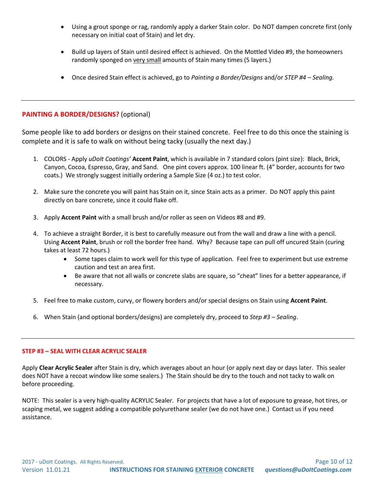- Using a grout sponge or rag, randomly apply a darker Stain color. Do NOT dampen concrete first (only necessary on initial coat of Stain) and let dry.
- Build up layers of Stain until desired effect is achieved. On the Mottled Video #9, the homeowners randomly sponged on very small amounts of Stain many times (5 layers.)
- Once desired Stain effect is achieved, go to *Painting a Border/Designs* and/or *STEP #4 – Sealing.*

# **PAINTING A BORDER/DESIGNS?** (optional)

Some people like to add borders or designs on their stained concrete. Feel free to do this once the staining is complete and it is safe to walk on without being tacky (usually the next day.)

- 1. COLORS Apply *uDoIt Coatings'* **Accent Paint**, which is available in 7 standard colors (pint size): Black, Brick, Canyon, Cocoa, Espresso, Gray, and Sand. One pint covers approx. 100 linear ft. (4" border, accounts for two coats.) We strongly suggest initially ordering a Sample Size (4 oz.) to test color.
- 2. Make sure the concrete you will paint has Stain on it, since Stain acts as a primer. Do NOT apply this paint directly on bare concrete, since it could flake off.
- 3. Apply **Accent Paint** with a small brush and/or roller as seen on Videos #8 and #9.
- 4. To achieve a straight Border, it is best to carefully measure out from the wall and draw a line with a pencil. Using **Accent Paint**, brush or roll the border free hand. Why? Because tape can pull off uncured Stain (curing takes at least 72 hours.)
	- Some tapes claim to work well for this type of application. Feel free to experiment but use extreme caution and test an area first.
	- Be aware that not all walls or concrete slabs are square, so "cheat" lines for a better appearance, if necessary.
- 5. Feel free to make custom, curvy, or flowery borders and/or special designs on Stain using **Accent Paint**.
- 6. When Stain (and optional borders/designs) are completely dry, proceed to *Step #3 – Sealing*.

#### **STEP #3 – SEAL WITH CLEAR ACRYLIC SEALER**

Apply **Clear Acrylic Sealer** after Stain is dry, which averages about an hour (or apply next day or days later. This sealer does NOT have a recoat window like some sealers.) The Stain should be dry to the touch and not tacky to walk on before proceeding.

NOTE: This sealer is a very high-quality ACRYLIC Sealer. For projects that have a lot of exposure to grease, hot tires, or scaping metal, we suggest adding a compatible polyurethane sealer (we do not have one.) Contact us if you need assistance.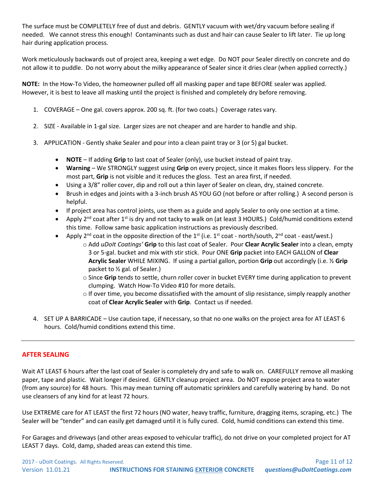The surface must be COMPLETELY free of dust and debris. GENTLY vacuum with wet/dry vacuum before sealing if needed. We cannot stress this enough! Contaminants such as dust and hair can cause Sealer to lift later. Tie up long hair during application process.

Work meticulously backwards out of project area, keeping a wet edge. Do NOT pour Sealer directly on concrete and do not allow it to puddle. Do not worry about the milky appearance of Sealer since it dries clear (when applied correctly.)

**NOTE:** In the How-To Video, the homeowner pulled off all masking paper and tape BEFORE sealer was applied. However, it is best to leave all masking until the project is finished and completely dry before removing.

- 1. COVERAGE One gal. covers approx. 200 sq. ft. (for two coats.) Coverage rates vary.
- 2. SIZE Available in 1-gal size. Larger sizes are not cheaper and are harder to handle and ship.
- 3. APPLICATION Gently shake Sealer and pour into a clean paint tray or 3 (or 5) gal bucket.
	- **NOTE** If adding **Grip** to last coat of Sealer (only), use bucket instead of paint tray.
	- **Warning** We STRONGLY suggest using **Grip** on every project, since it makes floors less slippery. For the most part, **Grip** is not visible and it reduces the gloss. Test an area first, if needed.
	- Using a 3/8" roller cover, dip and roll out a thin layer of Sealer on clean, dry, stained concrete.
	- Brush in edges and joints with a 3-inch brush AS YOU GO (not before or after rolling.) A second person is helpful.
	- If project area has control joints, use them as a guide and apply Sealer to only one section at a time.
	- Apply 2<sup>nd</sup> coat after 1<sup>st</sup> is dry and not tacky to walk on (at least 3 HOURS.) Cold/humid conditions extend this time. Follow same basic application instructions as previously described.
	- Apply 2<sup>nd</sup> coat in the opposite direction of the 1<sup>st</sup> (i.e. 1<sup>st</sup> coat north/south, 2<sup>nd</sup> coat east/west.)
		- o Add *uDoIt Coatings'* **Grip** to this last coat of Sealer. Pour **Clear Acrylic Sealer** into a clean, empty 3 or 5-gal. bucket and mix with stir stick. Pour ONE **Grip** packet into EACH GALLON of **Clear Acrylic Sealer** WHILE MIXING. If using a partial gallon, portion **Grip** out accordingly (i.e. ½ **Grip** packet to ½ gal. of Sealer.)
		- o Since **Grip** tends to settle, churn roller cover in bucket EVERY time during application to prevent clumping. Watch How-To Video #10 for more details.
		- o If over time, you become dissatisfied with the amount of slip resistance, simply reapply another coat of **Clear Acrylic Sealer** with **Grip**. Contact us if needed.
- 4. SET UP A BARRICADE Use caution tape, if necessary, so that no one walks on the project area for AT LEAST 6 hours. Cold/humid conditions extend this time.

# **AFTER SEALING**

Wait AT LEAST 6 hours after the last coat of Sealer is completely dry and safe to walk on. CAREFULLY remove all masking paper, tape and plastic. Wait longer if desired. GENTLY cleanup project area. Do NOT expose project area to water (from any source) for 48 hours. This may mean turning off automatic sprinklers and carefully watering by hand. Do not use cleansers of any kind for at least 72 hours.

Use EXTREME care for AT LEAST the first 72 hours (NO water, heavy traffic, furniture, dragging items, scraping, etc.) The Sealer will be "tender" and can easily get damaged until it is fully cured. Cold, humid conditions can extend this time.

For Garages and driveways (and other areas exposed to vehicular traffic), do not drive on your completed project for AT LEAST 7 days. Cold, damp, shaded areas can extend this time.